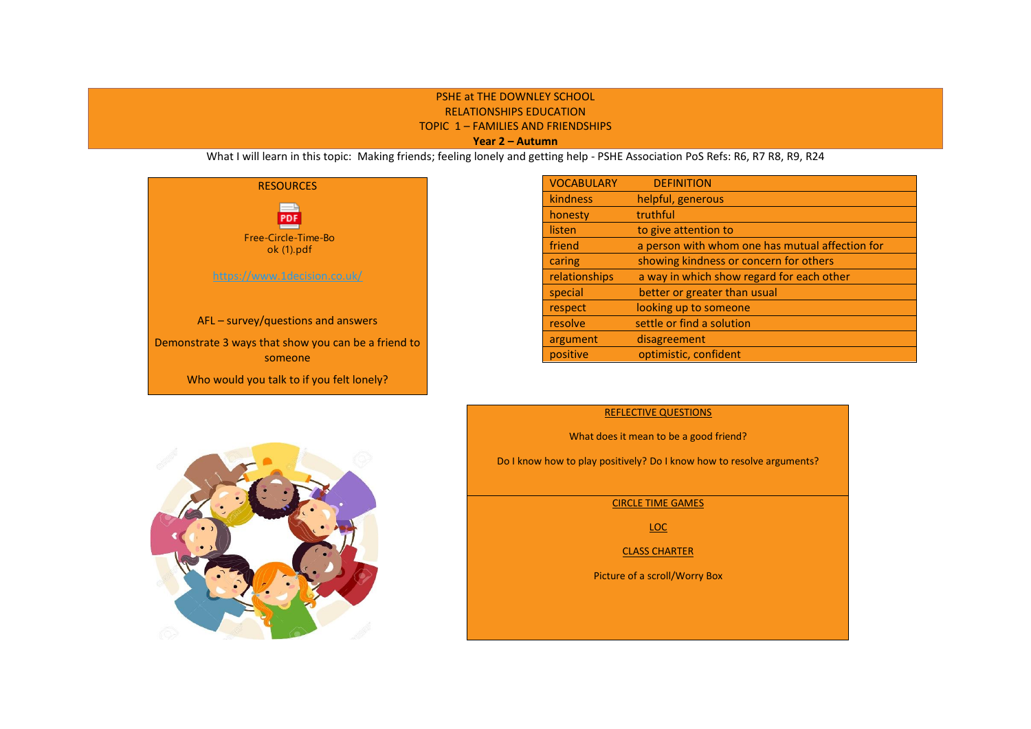## PSHE at THE DOWNLEY SCHOOL RELATIONSHIPS EDUCATION TOPIC 1 – FAMILIES AND FRIENDSHIPS **Year 2 – Autumn**

What I will learn in this topic: Making friends; feeling lonely and getting help - PSHE Association PoS Refs: R6, R7 R8, R9, R24



| <b>VOCABULARY</b> | <b>DEFINITION</b>                               |
|-------------------|-------------------------------------------------|
| kindness          | helpful, generous                               |
| honesty           | truthful                                        |
| listen            | to give attention to                            |
| friend            | a person with whom one has mutual affection for |
| caring            | showing kindness or concern for others          |
| relationships     | a way in which show regard for each other       |
| special           | better or greater than usual                    |
| respect           | looking up to someone                           |
| resolve           | settle or find a solution                       |
| argument          | disagreement                                    |
| positive          | optimistic, confident                           |



#### REFLECTIVE QUESTIONS

What does it mean to be a good friend?

Do I know how to play positively? Do I know how to resolve arguments?

CIRCLE TIME GAMES

LOC

CLASS CHARTER

Picture of a scroll/Worry Box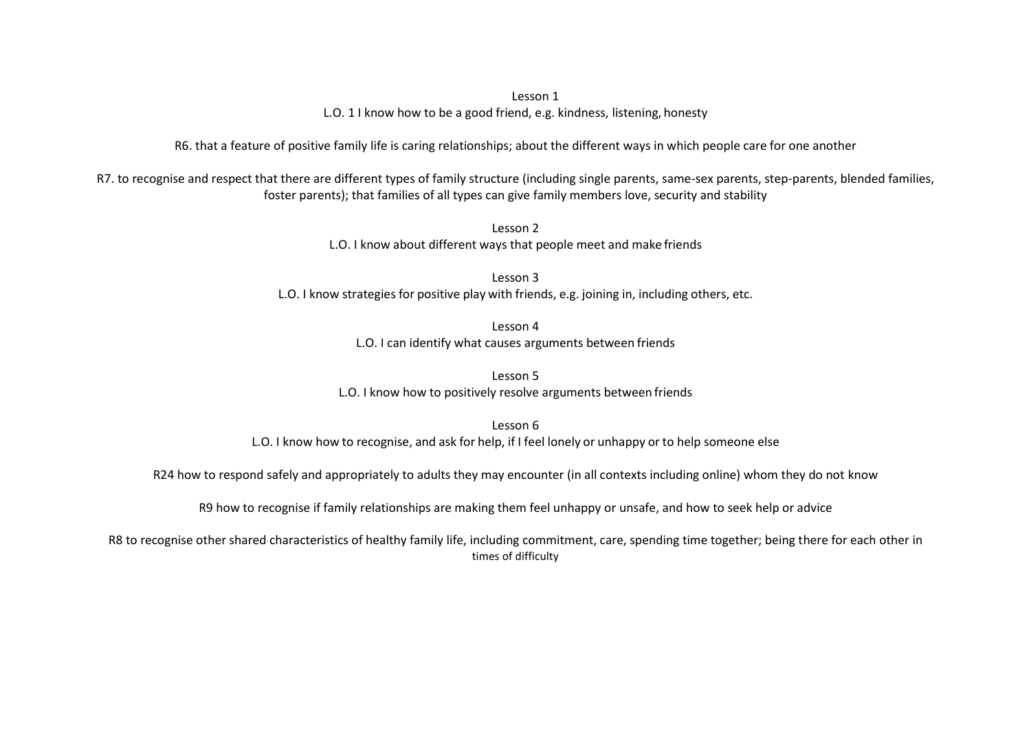Lesson 1

L.O. 1 I know how to be a good friend, e.g. kindness, listening, honesty

R6. that a feature of positive family life is caring relationships; about the different ways in which people care for one another

R7. to recognise and respect that there are different types of family structure (including single parents, same-sex parents, step-parents, blended families, foster parents); that families of all types can give family members love, security and stability

> Lesson 2 L.O. I know about different ways that people meet and make friends

Lesson 3 L.O. I know strategies for positive play with friends, e.g. joining in, including others, etc.

> Lesson 4 L.O. I can identify what causes arguments between friends

Lesson 5 L.O. I know how to positively resolve arguments between friends

Lesson 6 L.O. I know how to recognise, and ask for help, if I feel lonely or unhappy or to help someone else

R24 how to respond safely and appropriately to adults they may encounter (in all contexts including online) whom they do not know

R9 how to recognise if family relationships are making them feel unhappy or unsafe, and how to seek help or advice

R8 to recognise other shared characteristics of healthy family life, including commitment, care, spending time together; being there for each other in times of difficulty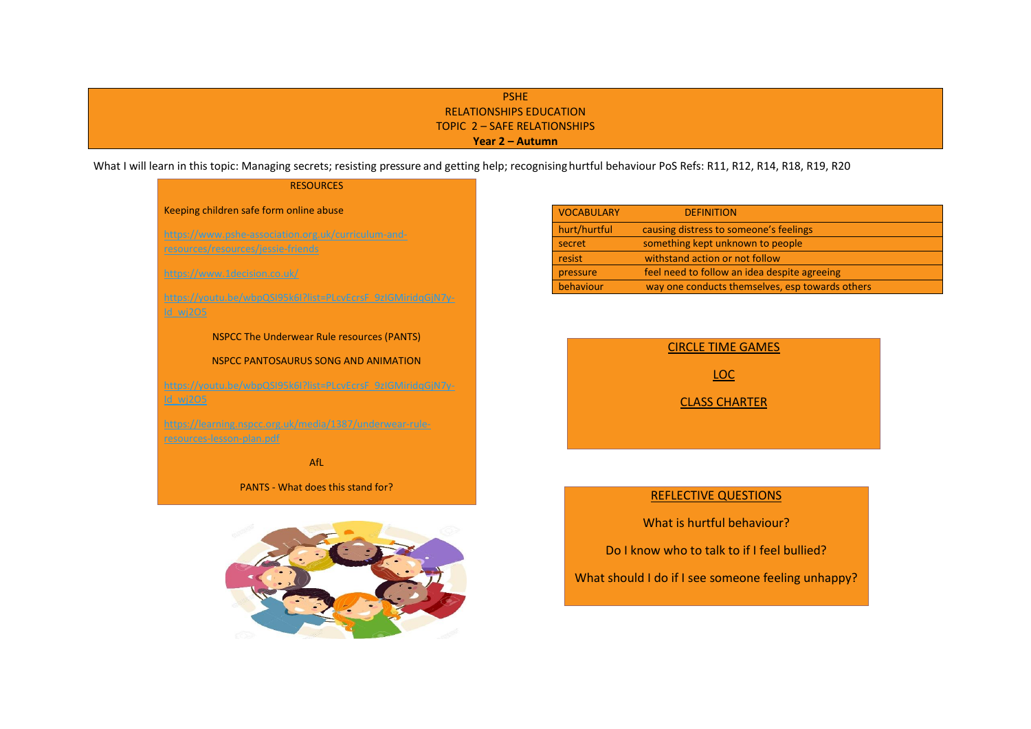# PSHE RELATIONSHIPS EDUCATION TOPIC 2 – SAFE RELATIONSHIPS **Year 2 – Autumn**

What I will learn in this topic: Managing secrets; resisting pressure and getting help; recognising hurtful behaviour PoS Refs: R11, R12, R14, R18, R19, R20

# **RESOURCES** Keeping children safe form online abuse [https://www.pshe-association.org.uk/curriculum-and](https://www.pshe-association.org.uk/curriculum-and-resources/resources/jessie-friends)[resources/resources/jessie-friends](https://www.pshe-association.org.uk/curriculum-and-resources/resources/jessie-friends) <https://www.1decision.co.uk/> [https://youtu.be/wbpQSI95k6I?list=PLcvEcrsF\\_9zIGMiridqGjN7y-](https://youtu.be/wbpQSI95k6I?list=PLcvEcrsF_9zIGMiridqGjN7y-Id_wj2O5)NSPCC The Underwear Rule resources (PANTS) NSPCC PANTOSAURUS SONG AND ANIMATION [https://youtu.be/wbpQSI95k6I?list=PLcvEcrsF\\_9zIGMiridqGjN7y](https://youtu.be/wbpQSI95k6I?list=PLcvEcrsF_9zIGMiridqGjN7y-Id_wj2O5)[https://learning.nspcc.org.uk/media/1387/underwear-rule](https://learning.nspcc.org.uk/media/1387/underwear-rule-resources-lesson-plan.pdf)[resources-lesson-plan.pdf](https://learning.nspcc.org.uk/media/1387/underwear-rule-resources-lesson-plan.pdf) AfL

PANTS - What does this stand for?



| <b>VOCABULARY</b> | <b>DEFINITION</b>                               |
|-------------------|-------------------------------------------------|
| hurt/hurtful      | causing distress to someone's feelings          |
| secret            | something kept unknown to people                |
| resist            | withstand action or not follow                  |
| pressure          | feel need to follow an idea despite agreeing    |
| behaviour         | way one conducts themselves, esp towards others |



# REFLECTIVE QUESTIONS

What is hurtful behaviour?

Do I know who to talk to if I feel bullied?

What should I do if I see someone feeling unhappy?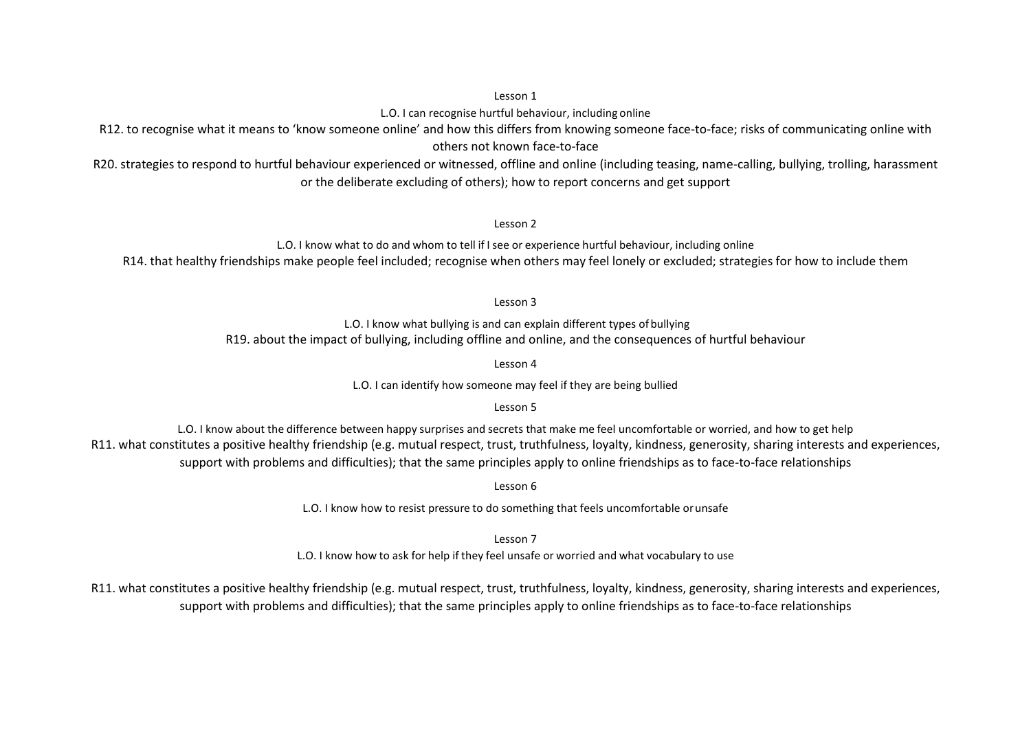### Lesson 1

L.O. I can recognise hurtful behaviour, including online

R12. to recognise what it means to 'know someone online' and how this differs from knowing someone face-to-face; risks of communicating online with others not known face-to-face

R20. strategies to respond to hurtful behaviour experienced or witnessed, offline and online (including teasing, name-calling, bullying, trolling, harassment or the deliberate excluding of others); how to report concerns and get support

Lesson 2

L.O. I know what to do and whom to tell if Isee or experience hurtful behaviour, including online R14. that healthy friendships make people feel included; recognise when others may feel lonely or excluded; strategies for how to include them

Lesson 3

L.O. I know what bullying is and can explain different types of bullying R19. about the impact of bullying, including offline and online, and the consequences of hurtful behaviour

Lesson 4

L.O. I can identify how someone may feel if they are being bullied

Lesson 5

L.O. I know about the difference between happy surprises and secrets that make me feel uncomfortable or worried, and how to get help R11. what constitutes a positive healthy friendship (e.g. mutual respect, trust, truthfulness, loyalty, kindness, generosity, sharing interests and experiences, support with problems and difficulties); that the same principles apply to online friendships as to face-to-face relationships

Lesson 6

L.O. I know how to resist pressure to do something that feels uncomfortable orunsafe

Lesson 7

L.O. I know how to ask for help if they feel unsafe or worried and what vocabulary to use

R11. what constitutes a positive healthy friendship (e.g. mutual respect, trust, truthfulness, loyalty, kindness, generosity, sharing interests and experiences, support with problems and difficulties); that the same principles apply to online friendships as to face-to-face relationships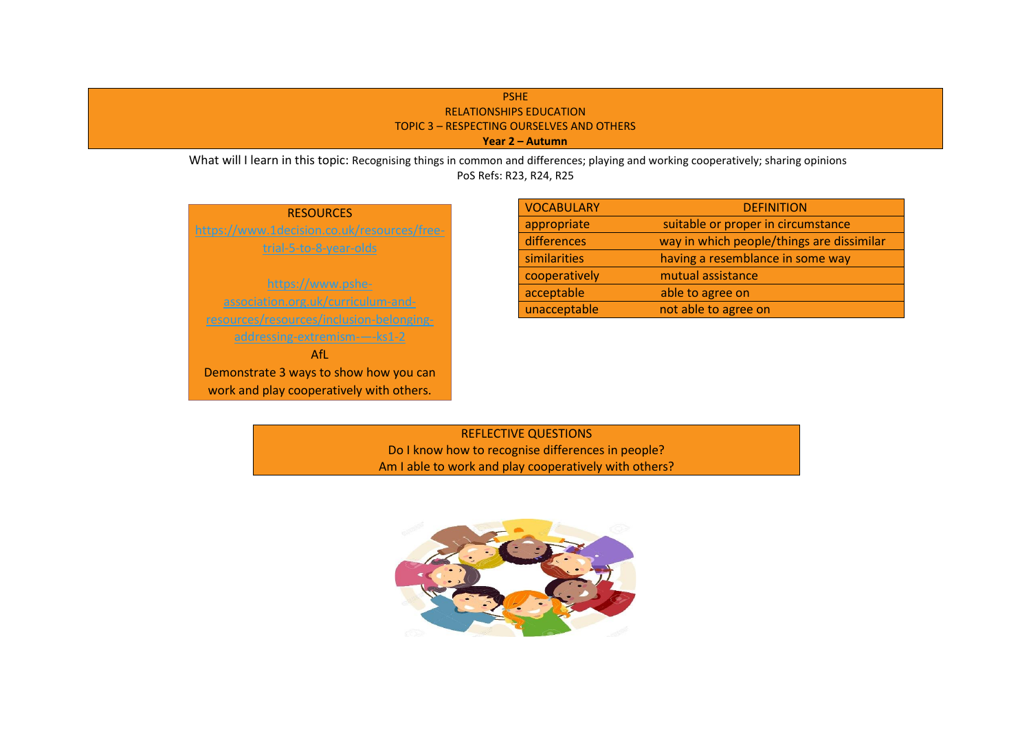# PSHE RELATIONSHIPS EDUCATION TOPIC 3 – RESPECTING OURSELVES AND OTHERS  **Year 2 – Autumn**

What will I learn in this topic: Recognising things in common and differences; playing and working cooperatively; sharing opinions PoS Refs: R23, R24, R25

| <b>RESOURCES</b>                            |  |  |
|---------------------------------------------|--|--|
| https://www.1decision.co.uk/resources/free- |  |  |
| trial-5-to-8-year-olds                      |  |  |
|                                             |  |  |
| https://www.pshe-                           |  |  |
| association.org.uk/curriculum-and-          |  |  |
| resources/resources/inclusion-belonging-    |  |  |
| addressing-extremism--ks1-2                 |  |  |
| Afl.                                        |  |  |
| Demonstrate 3 ways to show how you can      |  |  |
| work and play cooperatively with others.    |  |  |

| <b>VOCABULARY</b> | <b>DEFINITION</b>                         |
|-------------------|-------------------------------------------|
| appropriate       | suitable or proper in circumstance        |
| differences       | way in which people/things are dissimilar |
| similarities      | having a resemblance in some way          |
| cooperatively     | mutual assistance                         |
| acceptable        | able to agree on                          |
| unacceptable      | not able to agree on                      |

REFLECTIVE QUESTIONS Do I know how to recognise differences in people? Am I able to work and play cooperatively with others?